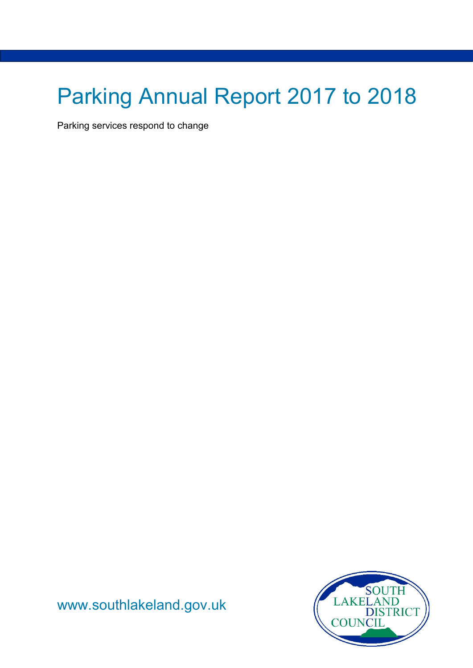# Parking Annual Report 2017 to 2018

Parking services respond to change

NOUTH OUNCIL

[www.southlakeland.gov.uk](http://www.southlakeland.gov.uk/)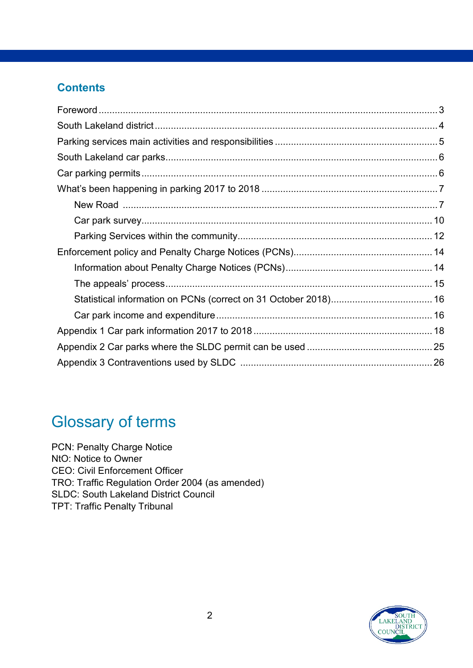#### **Contents**

# Glossary of terms

PCN: Penalty Charge Notice NtO: Notice to Owner CEO: Civil Enforcement Officer TRO: Traffic Regulation Order 2004 (as amended) SLDC: South Lakeland District Council TPT: Traffic Penalty Tribunal

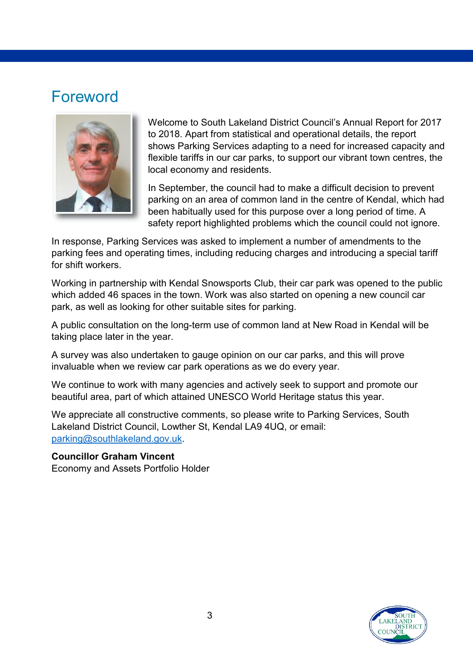### <span id="page-2-0"></span>Foreword



Welcome to South Lakeland District Council's Annual Report for 2017 to 2018. Apart from statistical and operational details, the report shows Parking Services adapting to a need for increased capacity and flexible tariffs in our car parks, to support our vibrant town centres, the local economy and residents.

In September, the council had to make a difficult decision to prevent parking on an area of common land in the centre of Kendal, which had been habitually used for this purpose over a long period of time. A safety report highlighted problems which the council could not ignore.

In response, Parking Services was asked to implement a number of amendments to the parking fees and operating times, including reducing charges and introducing a special tariff for shift workers.

Working in partnership with Kendal Snowsports Club, their car park was opened to the public which added 46 spaces in the town. Work was also started on opening a new council car park, as well as looking for other suitable sites for parking.

A public consultation on the long-term use of common land at New Road in Kendal will be taking place later in the year.

A survey was also undertaken to gauge opinion on our car parks, and this will prove invaluable when we review car park operations as we do every year.

We continue to work with many agencies and actively seek to support and promote our beautiful area, part of which attained UNESCO World Heritage status this year.

We appreciate all constructive comments, so please write to Parking Services, South Lakeland District Council, Lowther St, Kendal LA9 4UQ, or email: [parking@southlakeland.gov.uk.](mailto:parking@southlakeland.gov.uk)

#### **Councillor Graham Vincent**

Economy and Assets Portfolio Holder

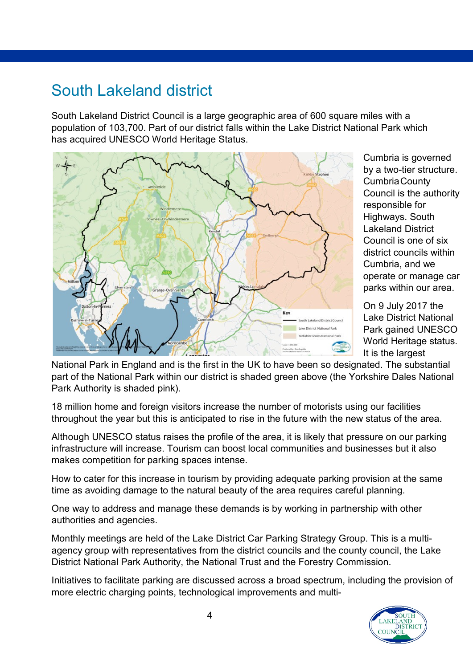# <span id="page-3-0"></span>South Lakeland district

South Lakeland District Council is a large geographic area of 600 square miles with a population of 103,700. Part of our district falls within the Lake District National Park which has acquired UNESCO World Heritage Status.



Cumbria is governed by a two-tier structure. CumbriaCounty Council is the authority responsible for Highways. South Lakeland District Council is one of six district councils within Cumbria, and we operate or manage car parks within our area.

On 9 July 2017 the Lake District National Park gained UNESCO World Heritage status. It is the largest

National Park in England and is the first in the UK to have been so designated. The substantial part of the National Park within our district is shaded green above (the Yorkshire Dales National Park Authority is shaded pink).

18 million home and foreign visitors increase the number of motorists using our facilities throughout the year but this is anticipated to rise in the future with the new status of the area.

Although UNESCO status raises the profile of the area, it is likely that pressure on our parking infrastructure will increase. Tourism can boost local communities and businesses but it also makes competition for parking spaces intense.

How to cater for this increase in tourism by providing adequate parking provision at the same time as avoiding damage to the natural beauty of the area requires careful planning.

One way to address and manage these demands is by working in partnership with other authorities and agencies.

Monthly meetings are held of the Lake District Car Parking Strategy Group. This is a multiagency group with representatives from the district councils and the county council, the Lake District National Park Authority, the National Trust and the Forestry Commission.

Initiatives to facilitate parking are discussed across a broad spectrum, including the provision of more electric charging points, technological improvements and multi-

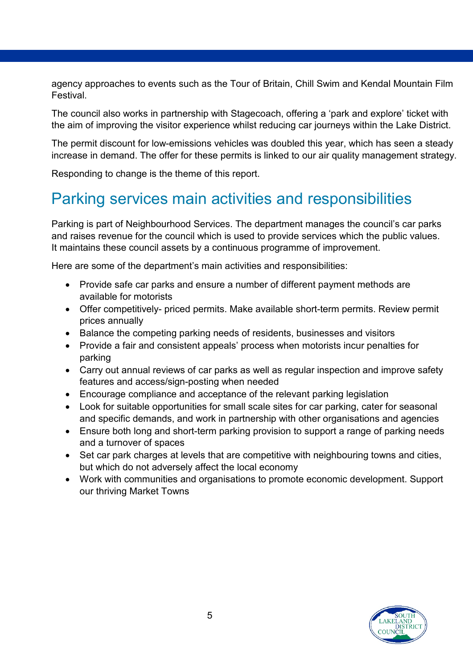agency approaches to events such as the Tour of Britain, Chill Swim and Kendal Mountain Film Festival.

The council also works in partnership with Stagecoach, offering a 'park and explore' ticket with the aim of improving the visitor experience whilst reducing car journeys within the Lake District.

The permit discount for low-emissions vehicles was doubled this year, which has seen a steady increase in demand. The offer for these permits is linked to our air quality management strategy.

Responding to change is the theme of this report.

# <span id="page-4-0"></span>Parking services main activities and responsibilities

Parking is part of Neighbourhood Services. The department manages the council's car parks and raises revenue for the council which is used to provide services which the public values. It maintains these council assets by a continuous programme of improvement.

Here are some of the department's main activities and responsibilities:

- Provide safe car parks and ensure a number of different payment methods are available for motorists
- Offer competitively- priced permits. Make available short-term permits. Review permit prices annually
- Balance the competing parking needs of residents, businesses and visitors
- Provide a fair and consistent appeals' process when motorists incur penalties for parking
- Carry out annual reviews of car parks as well as regular inspection and improve safety features and access/sign-posting when needed
- Encourage compliance and acceptance of the relevant parking legislation
- Look for suitable opportunities for small scale sites for car parking, cater for seasonal and specific demands, and work in partnership with other organisations and agencies
- Ensure both long and short-term parking provision to support a range of parking needs and a turnover of spaces
- Set car park charges at levels that are competitive with neighbouring towns and cities, but which do not adversely affect the local economy
- Work with communities and organisations to promote economic development. Support our thriving Market Towns

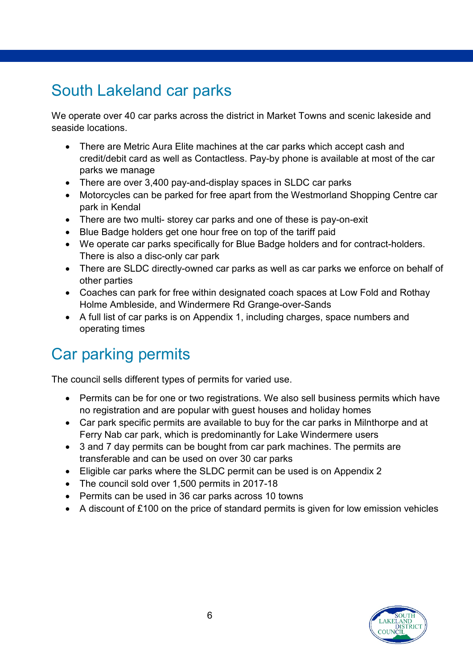# <span id="page-5-0"></span>South Lakeland car parks

We operate over 40 car parks across the district in Market Towns and scenic lakeside and seaside locations.

- There are Metric Aura Elite machines at the car parks which accept cash and credit/debit card as well as Contactless. Pay-by phone is available at most of the car parks we manage
- There are over 3,400 pay-and-display spaces in SLDC car parks
- Motorcycles can be parked for free apart from the Westmorland Shopping Centre car park in Kendal
- There are two multi- storey car parks and one of these is pay-on-exit
- Blue Badge holders get one hour free on top of the tariff paid
- We operate car parks specifically for Blue Badge holders and for contract-holders. There is also a disc-only car park
- There are SLDC directly-owned car parks as well as car parks we enforce on behalf of other parties
- Coaches can park for free within designated coach spaces at Low Fold and Rothay Holme Ambleside, and Windermere Rd Grange-over-Sands
- A full list of car parks is on Appendix 1, including charges, space numbers and operating times

# <span id="page-5-1"></span>Car parking permits

The council sells different types of permits for varied use.

- Permits can be for one or two registrations. We also sell business permits which have no registration and are popular with guest houses and holiday homes
- Car park specific permits are available to buy for the car parks in Milnthorpe and at Ferry Nab car park, which is predominantly for Lake Windermere users
- 3 and 7 day permits can be bought from car park machines. The permits are transferable and can be used on over 30 car parks
- Eligible car parks where the SLDC permit can be used is on Appendix 2
- The council sold over 1,500 permits in 2017-18
- Permits can be used in 36 car parks across 10 towns
- A discount of £100 on the price of standard permits is given for low emission vehicles

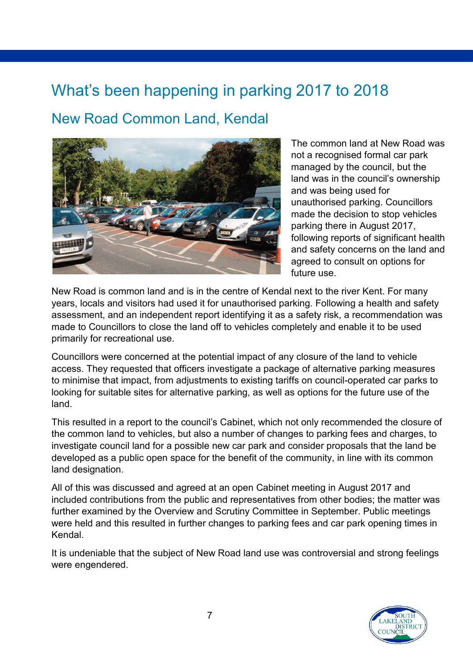# <span id="page-6-0"></span>What's been happening in parking 2017 to 2018

## <span id="page-6-1"></span>New Road Common Land, Kendal



The common land at New Road was not a recognised formal car park managed by the council, but the land was in the council's ownership and was being used for unauthorised parking. Councillors made the decision to stop vehicles parking there in August 2017, following reports of significant health and safety concerns on the land and agreed to consult on options for future use.

New Road is common land and is in the centre of Kendal next to the river Kent. For many years, locals and visitors had used it for unauthorised parking. Following a health and safety assessment, and an independent report identifying it as a safety risk, a recommendation was made to Councillors to close the land off to vehicles completely and enable it to be used primarily for recreational use.

Councillors were concerned at the potential impact of any closure of the land to vehicle access. They requested that officers investigate a package of alternative parking measures to minimise that impact, from adjustments to existing tariffs on council-operated car parks to looking for suitable sites for alternative parking, as well as options for the future use of the land.

This resulted in a report to the council's Cabinet, which not only recommended the closure of the common land to vehicles, but also a number of changes to parking fees and charges, to investigate council land for a possible new car park and consider proposals that the land be developed as a public open space for the benefit of the community, in line with its common land designation.

All of this was discussed and agreed at an open Cabinet meeting in August 2017 and included contributions from the public and representatives from other bodies; the matter was further examined by the Overview and Scrutiny Committee in September. Public meetings were held and this resulted in further changes to parking fees and car park opening times in Kendal.

It is undeniable that the subject of New Road land use was controversial and strong feelings were engendered.

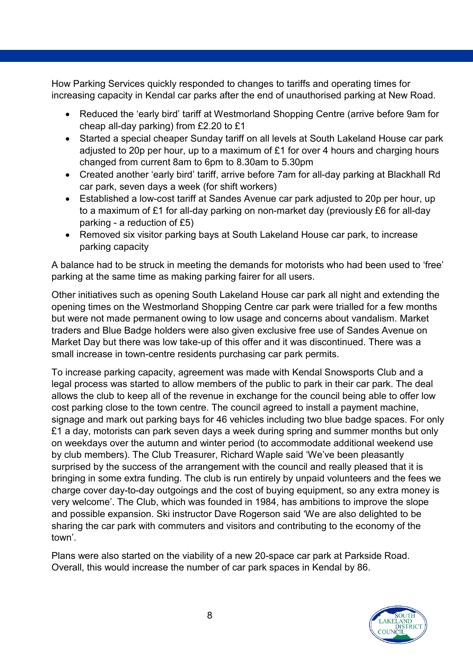How Parking Services quickly responded to changes to tariffs and operating times for increasing capacity in Kendal car parks after the end of unauthorised parking at New Road.

- Reduced the 'early bird' tariff at Westmorland Shopping Centre (arrive before 9am for cheap all-day parking) from £2.20 to £1
- Started a special cheaper Sunday tariff on all levels at South Lakeland House car park adjusted to 20p per hour, up to a maximum of £1 for over 4 hours and charging hours changed from current 8am to 6pm to 8.30am to 5.30pm
- Created another 'early bird' tariff, arrive before 7am for all-day parking at Blackhall Rd car park, seven days a week (for shift workers)
- Established a low-cost tariff at Sandes Avenue car park adjusted to 20p per hour, up to a maximum of £1 for all-day parking on non-market day (previously £6 for all-day parking - a reduction of £5)
- Removed six visitor parking bays at South Lakeland House car park, to increase parking capacity

A balance had to be struck in meeting the demands for motorists who had been used to 'free' parking at the same time as making parking fairer for all users.

Other initiatives such as opening South Lakeland House car park all night and extending the opening times on the Westmorland Shopping Centre car park were trialled for a few months but were not made permanent owing to low usage and concerns about vandalism. Market traders and Blue Badge holders were also given exclusive free use of Sandes Avenue on Market Day but there was low take-up of this offer and it was discontinued. There was a small increase in town-centre residents purchasing car park permits.

To increase parking capacity, agreement was made with Kendal Snowsports Club and a legal process was started to allow members of the public to park in their car park. The deal allows the club to keep all of the revenue in exchange for the council being able to offer low cost parking close to the town centre. The council agreed to install a payment machine, signage and mark out parking bays for 46 vehicles including two blue badge spaces. For only £1 a day, motorists can park seven days a week during spring and summer months but only on weekdays over the autumn and winter period (to accommodate additional weekend use by club members). The Club Treasurer, Richard Waple said 'We've been pleasantly surprised by the success of the arrangement with the council and really pleased that it is bringing in some extra funding. The club is run entirely by unpaid volunteers and the fees we charge cover day-to-day outgoings and the cost of buying equipment, so any extra money is very welcome'. The Club, which was founded in 1984, has ambitions to improve the slope and possible expansion. Ski instructor Dave Rogerson said 'We are also delighted to be sharing the car park with commuters and visitors and contributing to the economy of the town'.

Plans were also started on the viability of a new 20-space car park at Parkside Road. Overall, this would increase the number of car park spaces in Kendal by 86.

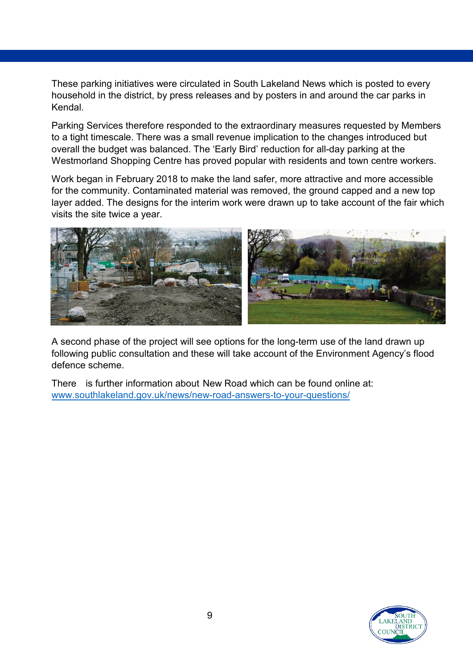These parking initiatives were circulated in South Lakeland News which is posted to every household in the district, by press releases and by posters in and around the car parks in Kendal.

Parking Services therefore responded to the extraordinary measures requested by Members to a tight timescale. There was a small revenue implication to the changes introduced but overall the budget was balanced. The 'Early Bird' reduction for all-day parking at the Westmorland Shopping Centre has proved popular with residents and town centre workers.

Work began in February 2018 to make the land safer, more attractive and more accessible for the community. Contaminated material was removed, the ground capped and a new top layer added. The designs for the interim work were drawn up to take account of the fair which visits the site twice a year.



A second phase of the project will see options for the long-term use of the land drawn up following public consultation and these will take account of the Environment Agency's flood defence scheme.

There is further information about New Road which can be found online at: www.southlakeland.gov.uk/news/new-road-answers-to-your-questions/

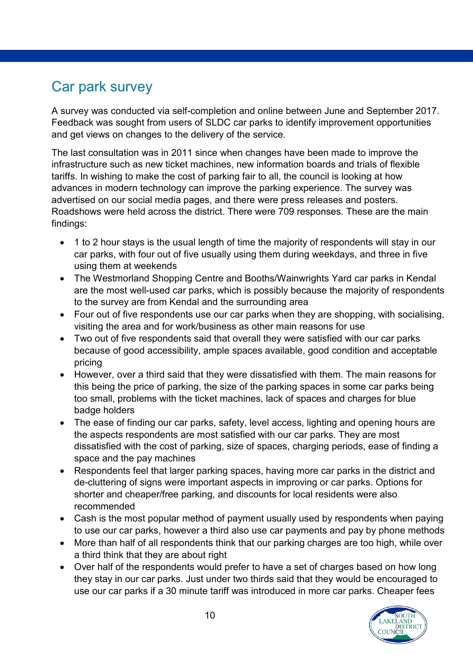# <span id="page-9-0"></span>Car park survey

A survey was conducted via self-completion and online between June and September 2017. Feedback was sought from users of SLDC car parks to identify improvement opportunities and get views on changes to the delivery of the service.

The last consultation was in 2011 since when changes have been made to improve the infrastructure such as new ticket machines, new information boards and trials of flexible tariffs. In wishing to make the cost of parking fair to all, the council is looking at how advances in modern technology can improve the parking experience. The survey was advertised on our social media pages, and there were press releases and posters. Roadshows were held across the district. There were 709 responses. These are the main findings:

- 1 to 2 hour stays is the usual length of time the majority of respondents will stay in our car parks, with four out of five usually using them during weekdays, and three in five using them at weekends
- The Westmorland Shopping Centre and Booths/Wainwrights Yard car parks in Kendal are the most well-used car parks, which is possibly because the majority of respondents to the survey are from Kendal and the surrounding area
- Four out of five respondents use our car parks when they are shopping, with socialising, visiting the area and for work/business as other main reasons for use
- Two out of five respondents said that overall they were satisfied with our car parks because of good accessibility, ample spaces available, good condition and acceptable pricing
- However, over a third said that they were dissatisfied with them. The main reasons for this being the price of parking, the size of the parking spaces in some car parks being too small, problems with the ticket machines, lack of spaces and charges for blue badge holders
- The ease of finding our car parks, safety, level access, lighting and opening hours are the aspects respondents are most satisfied with our car parks. They are most dissatisfied with the cost of parking, size of spaces, charging periods, ease of finding a space and the pay machines
- Respondents feel that larger parking spaces, having more car parks in the district and de-cluttering of signs were important aspects in improving or car parks. Options for shorter and cheaper/free parking, and discounts for local residents were also recommended
- Cash is the most popular method of payment usually used by respondents when paying to use our car parks, however a third also use car payments and pay by phone methods
- More than half of all respondents think that our parking charges are too high, while over a third think that they are about right
- Over half of the respondents would prefer to have a set of charges based on how long they stay in our car parks. Just under two thirds said that they would be encouraged to use our car parks if a 30 minute tariff was introduced in more car parks. Cheaper fees

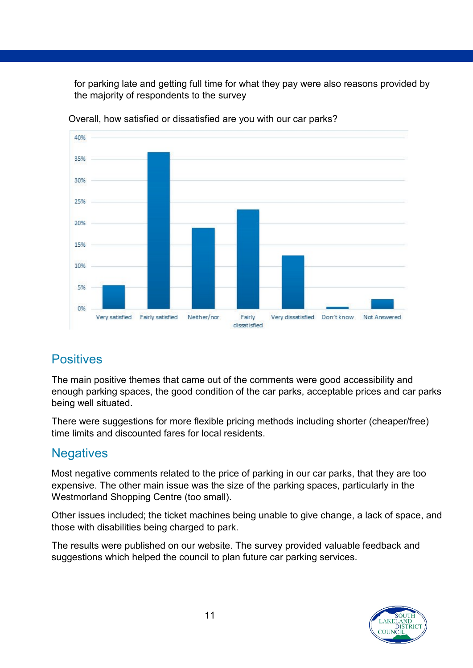for parking late and getting full time for what they pay were also reasons provided by the majority of respondents to the survey



Overall, how satisfied or dissatisfied are you with our car parks?

#### **Positives**

The main positive themes that came out of the comments were good accessibility and enough parking spaces, the good condition of the car parks, acceptable prices and car parks being well situated.

There were suggestions for more flexible pricing methods including shorter (cheaper/free) time limits and discounted fares for local residents.

#### **Negatives**

Most negative comments related to the price of parking in our car parks, that they are too expensive. The other main issue was the size of the parking spaces, particularly in the Westmorland Shopping Centre (too small).

Other issues included; the ticket machines being unable to give change, a lack of space, and those with disabilities being charged to park.

The results were published on our website. The survey provided valuable feedback and suggestions which helped the council to plan future car parking services.

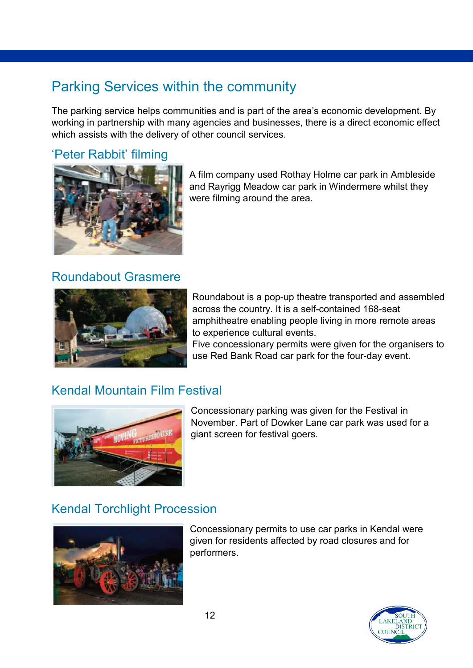# <span id="page-11-0"></span>Parking Services within the community

The parking service helps communities and is part of the area's economic development. By working in partnership with many agencies and businesses, there is a direct economic effect which assists with the delivery of other council services.

#### 'Peter Rabbit' filming



A film company used Rothay Holme car park in Ambleside and Rayrigg Meadow car park in Windermere whilst they were filming around the area.

#### Roundabout Grasmere



Roundabout is a pop-up theatre transported and assembled across the country. It is a self-contained 168-seat amphitheatre enabling people living in more remote areas to experience cultural events.

Five concessionary permits were given for the organisers to use Red Bank Road car park for the four-day event.

#### Kendal Mountain Film Festival



Concessionary parking was given for the Festival in November. Part of Dowker Lane car park was used for a giant screen for festival goers.

#### Kendal Torchlight Procession



Concessionary permits to use car parks in Kendal were given for residents affected by road closures and for performers.

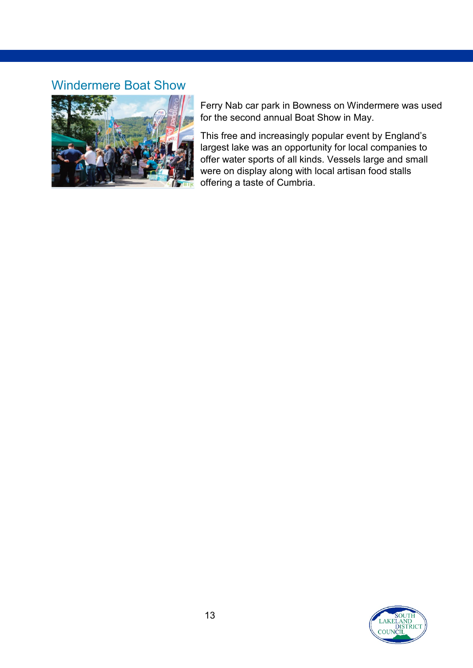#### Windermere Boat Show



Ferry Nab car park in Bowness on Windermere was used for the second annual Boat Show in May.

This free and increasingly popular event by England's largest lake was an opportunity for local companies to offer water sports of all kinds. Vessels large and small were on display along with local artisan food stalls offering a taste of Cumbria.

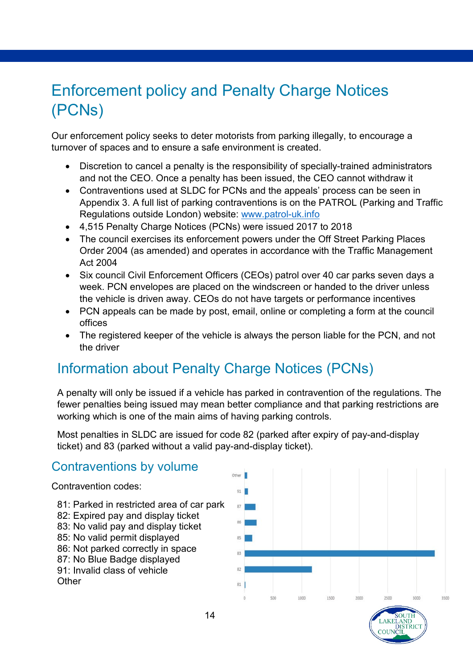# <span id="page-13-0"></span>Enforcement policy and Penalty Charge Notices (PCNs)

Our enforcement policy seeks to deter motorists from parking illegally, to encourage a turnover of spaces and to ensure a safe environment is created.

- Discretion to cancel a penalty is the responsibility of specially-trained administrators and not the CEO. Once a penalty has been issued, the CEO cannot withdraw it
- Contraventions used at SLDC for PCNs and the appeals' process can be seen in Appendix 3. A full list of parking contraventions is on the PATROL (Parking and Traffic Regulations outside London) website: [www.patrol-uk.info](http://www.patrol-uk.info/)
- 4,515 Penalty Charge Notices (PCNs) were issued 2017 to 2018
- The council exercises its enforcement powers under the Off Street Parking Places Order 2004 (as amended) and operates in accordance with the Traffic Management Act 2004
- Six council Civil Enforcement Officers (CEOs) patrol over 40 car parks seven days a week. PCN envelopes are placed on the windscreen or handed to the driver unless the vehicle is driven away. CEOs do not have targets or performance incentives
- PCN appeals can be made by post, email, online or completing a form at the council offices
- The registered keeper of the vehicle is always the person liable for the PCN, and not the driver

# <span id="page-13-1"></span>Information about Penalty Charge Notices (PCNs)

A penalty will only be issued if a vehicle has parked in contravention of the regulations. The fewer penalties being issued may mean better compliance and that parking restrictions are working which is one of the main aims of having parking controls.

Most penalties in SLDC are issued for code 82 (parked after expiry of pay-and-display ticket) and 83 (parked without a valid pay-and-display ticket).

### Contraventions by volume

Contravention codes:

- 81: Parked in restricted area of car park
- 82: Expired pay and display ticket
- 83: No valid pay and display ticket
- 85: No valid permit displayed
- 86: Not parked correctly in space
- 87: No Blue Badge displayed
- 91: Invalid class of vehicle
- **Other**



**DISTRICT**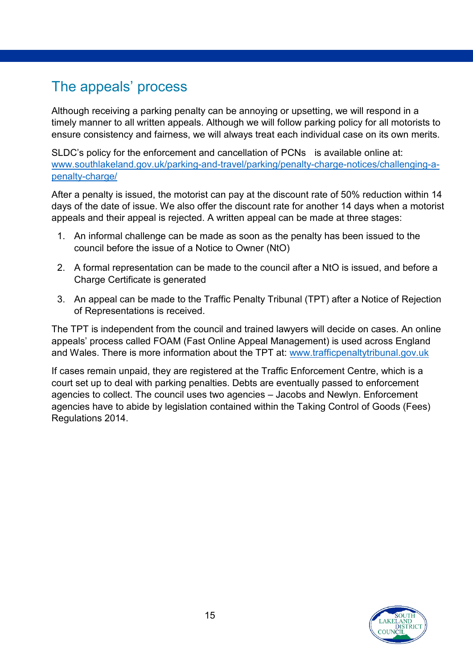# <span id="page-14-0"></span>The appeals' process

Although receiving a parking penalty can be annoying or upsetting, we will respond in a timely manner to all written appeals. Although we will follow parking policy for all motorists to ensure consistency and fairness, we will always treat each individual case on its own merits.

SLDC's policy for the enforcement and cancellation of PCNs is available online at: [www.southlakeland.gov.uk/parking-and-travel/parking/penalty-charge-notices/challenging-a](https://www.southlakeland.gov.uk/parking-roads-and-travel/parking/parking-penalty-charge-notices-pcn/)penalty-charge/

After a penalty is issued, the motorist can pay at the discount rate of 50% reduction within 14 days of the date of issue. We also offer the discount rate for another 14 days when a motorist appeals and their appeal is rejected. A written appeal can be made at three stages:

- 1. An informal challenge can be made as soon as the penalty has been issued to the council before the issue of a Notice to Owner (NtO)
- 2. A formal representation can be made to the council after a NtO is issued, and before a Charge Certificate is generated
- 3. An appeal can be made to the Traffic Penalty Tribunal (TPT) after a Notice of Rejection of Representations is received.

The TPT is independent from the council and trained lawyers will decide on cases. An online appeals' process called FOAM (Fast Online Appeal Management) is used across England and Wales. There is more information about the TPT at: www.trafficpenaltytribunal.gov.uk

If cases remain unpaid, they are registered at the Traffic Enforcement Centre, which is a court set up to deal with parking penalties. Debts are eventually passed to enforcement agencies to collect. The council uses two agencies – Jacobs and Newlyn. Enforcement agencies have to abide by legislation contained within the Taking Control of Goods (Fees) Regulations 2014.

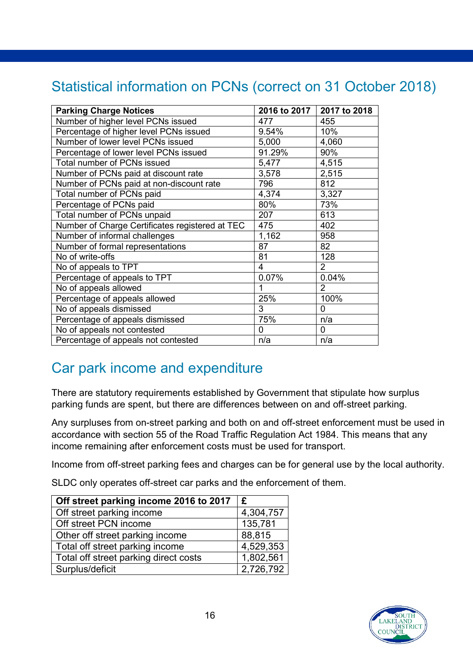# <span id="page-15-0"></span>Statistical information on PCNs (correct on 31 October 2018)

| <b>Parking Charge Notices</b>                   |        | 2016 to 2017 2017 to 2018 |
|-------------------------------------------------|--------|---------------------------|
| Number of higher level PCNs issued              | 477    | 455                       |
| Percentage of higher level PCNs issued          | 9.54%  | 10%                       |
| Number of lower level PCNs issued               | 5,000  | 4,060                     |
| Percentage of lower level PCNs issued           | 91.29% | 90%                       |
| Total number of PCNs issued                     | 5,477  | 4,515                     |
| Number of PCNs paid at discount rate            | 3,578  | 2,515                     |
| Number of PCNs paid at non-discount rate        | 796    | 812                       |
| Total number of PCNs paid                       | 4,374  | 3,327                     |
| Percentage of PCNs paid                         | 80%    | 73%                       |
| Total number of PCNs unpaid                     | 207    | 613                       |
| Number of Charge Certificates registered at TEC | 475    | 402                       |
| Number of informal challenges                   | 1,162  | 958                       |
| Number of formal representations                | 87     | 82                        |
| No of write-offs                                | 81     | 128                       |
| No of appeals to TPT                            | 4      | $\overline{2}$            |
| Percentage of appeals to TPT                    | 0.07%  | 0.04%                     |
| No of appeals allowed                           | 1      | $\overline{2}$            |
| Percentage of appeals allowed                   | 25%    | 100%                      |
| No of appeals dismissed                         | 3      | $\Omega$                  |
| Percentage of appeals dismissed                 | 75%    | n/a                       |
| No of appeals not contested                     | 0      | 0                         |
| Percentage of appeals not contested             | n/a    | n/a                       |

## <span id="page-15-1"></span>Car park income and expenditure

There are statutory requirements established by Government that stipulate how surplus parking funds are spent, but there are differences between on and off-street parking.

Any surpluses from on-street parking and both on and off-street enforcement must be used in accordance with section 55 of the Road Traffic Regulation Act 1984. This means that any income remaining after enforcement costs must be used for transport.

Income from off-street parking fees and charges can be for general use by the local authority.

SLDC only operates off-street car parks and the enforcement of them.

| Off street parking income 2016 to 2017 | E         |
|----------------------------------------|-----------|
| Off street parking income              | 4,304,757 |
| Off street PCN income                  | 135,781   |
| Other off street parking income        | 88,815    |
| Total off street parking income        | 4,529,353 |
| Total off street parking direct costs  | 1,802,561 |
| Surplus/deficit                        | 2,726,792 |

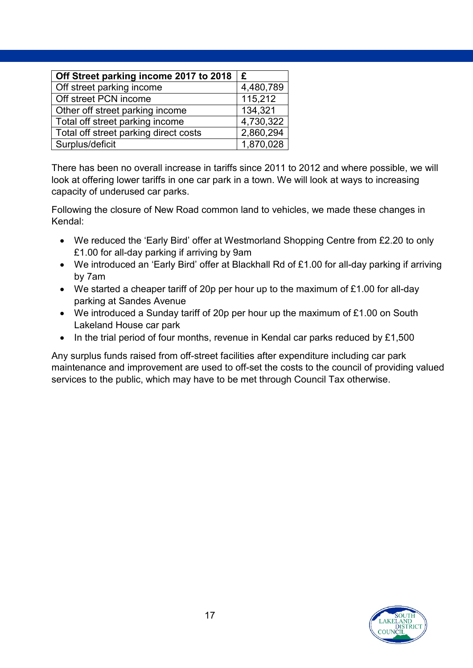| Off Street parking income 2017 to 2018 | £         |
|----------------------------------------|-----------|
| Off street parking income              | 4,480,789 |
| Off street PCN income                  | 115,212   |
| Other off street parking income        | 134,321   |
| Total off street parking income        | 4,730,322 |
| Total off street parking direct costs  | 2,860,294 |
| Surplus/deficit                        | 1,870,028 |

There has been no overall increase in tariffs since 2011 to 2012 and where possible, we will look at offering lower tariffs in one car park in a town. We will look at ways to increasing capacity of underused car parks.

Following the closure of New Road common land to vehicles, we made these changes in Kendal:

- We reduced the 'Early Bird' offer at Westmorland Shopping Centre from £2.20 to only £1.00 for all-day parking if arriving by 9am
- We introduced an 'Early Bird' offer at Blackhall Rd of £1.00 for all-day parking if arriving by 7am
- We started a cheaper tariff of 20p per hour up to the maximum of £1.00 for all-day parking at Sandes Avenue
- We introduced a Sunday tariff of 20p per hour up the maximum of £1.00 on South Lakeland House car park
- In the trial period of four months, revenue in Kendal car parks reduced by £1,500

Any surplus funds raised from off-street facilities after expenditure including car park maintenance and improvement are used to off-set the costs to the council of providing valued services to the public, which may have to be met through Council Tax otherwise.

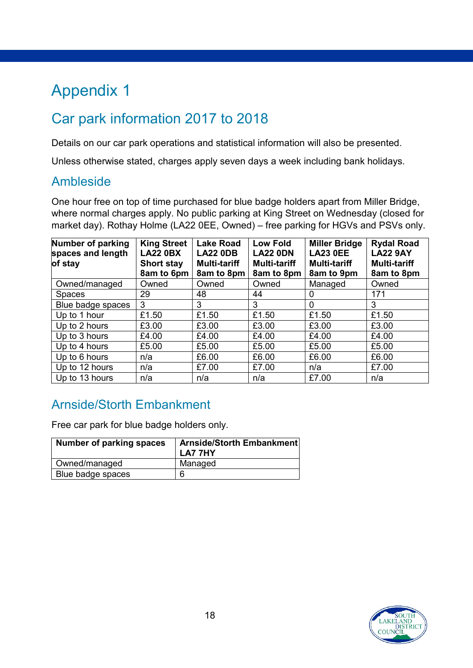# <span id="page-17-0"></span>Appendix 1

# Car park information 2017 to 2018

Details on our car park operations and statistical information will also be presented.

Unless otherwise stated, charges apply seven days a week including bank holidays.

#### Ambleside

One hour free on top of time purchased for blue badge holders apart from Miller Bridge, where normal charges apply. No public parking at King Street on Wednesday (closed for market day). Rothay Holme (LA22 0EE, Owned) – free parking for HGVs and PSVs only.

| Number of parking<br>spaces and length<br>of stay | <b>King Street</b><br><b>LA22 0BX</b><br><b>Short stay</b><br>8am to 6pm | <b>Lake Road</b><br><b>LA22 0DB</b><br><b>Multi-tariff</b><br>8am to 8pm | <b>Low Fold</b><br><b>LA22 0DN</b><br><b>Multi-tariff</b><br>8am to 8pm | <b>Miller Bridge</b><br><b>LA23 0EE</b><br><b>Multi-tariff</b><br>8am to 9pm | <b>Rydal Road</b><br><b>LA22 9AY</b><br><b>Multi-tariff</b><br>8am to 8pm |
|---------------------------------------------------|--------------------------------------------------------------------------|--------------------------------------------------------------------------|-------------------------------------------------------------------------|------------------------------------------------------------------------------|---------------------------------------------------------------------------|
| Owned/managed                                     | Owned                                                                    | Owned                                                                    | Owned                                                                   | Managed                                                                      | Owned                                                                     |
| <b>Spaces</b>                                     | 29                                                                       | 48                                                                       | 44                                                                      | 0                                                                            | 171                                                                       |
| Blue badge spaces                                 | 3                                                                        | 3                                                                        | 3                                                                       | 0                                                                            | 3                                                                         |
| Up to 1 hour                                      | £1.50                                                                    | £1.50                                                                    | £1.50                                                                   | £1.50                                                                        | £1.50                                                                     |
| Up to 2 hours                                     | £3.00                                                                    | £3.00                                                                    | £3.00                                                                   | £3.00                                                                        | £3.00                                                                     |
| Up to 3 hours                                     | £4.00                                                                    | £4.00                                                                    | £4.00                                                                   | £4.00                                                                        | £4.00                                                                     |
| Up to 4 hours                                     | £5.00                                                                    | £5.00                                                                    | £5.00                                                                   | £5.00                                                                        | £5.00                                                                     |
| Up to 6 hours                                     | n/a                                                                      | £6.00                                                                    | £6.00                                                                   | £6.00                                                                        | £6.00                                                                     |
| Up to 12 hours                                    | n/a                                                                      | £7.00                                                                    | £7.00                                                                   | n/a                                                                          | £7.00                                                                     |
| Up to 13 hours                                    | n/a                                                                      | n/a                                                                      | n/a                                                                     | £7.00                                                                        | n/a                                                                       |

### Arnside/Storth Embankment

Free car park for blue badge holders only.

| Number of parking spaces | Arnside/Storth Embankment<br><b>LA7 7HY</b> |
|--------------------------|---------------------------------------------|
| Owned/managed            | Managed                                     |
| Blue badge spaces        |                                             |

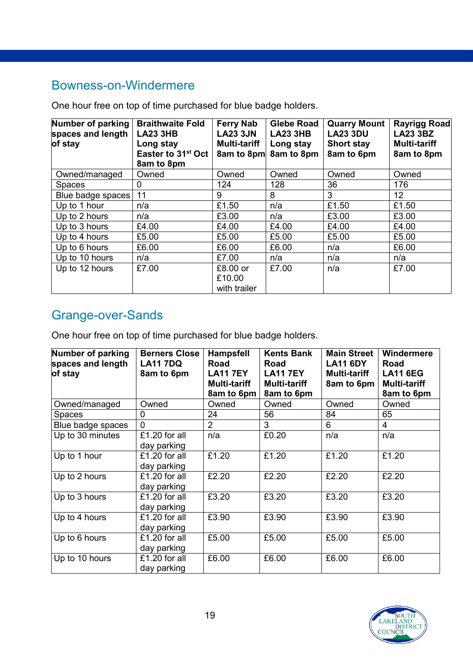### Bowness-on-Windermere

One hour free on top of time purchased for blue badge holders.

| Number of parking<br>spaces and length<br>of stay | <b>Braithwaite Fold</b><br><b>LA23 3HB</b><br>Long stay<br>Easter to 31 <sup>st</sup> Oct<br>8am to 8pm | <b>Ferry Nab</b><br><b>LA23 3JN</b><br><b>Multi-tariff</b><br>8am to 8pm | <b>Glebe Road</b><br><b>LA23 3HB</b><br>Long stay<br>8am to 8pm | <b>Quarry Mount</b><br><b>LA23 3DU</b><br><b>Short stay</b><br>8am to 6pm | Rayrigg Road<br><b>LA23 3BZ</b><br><b>Multi-tariff</b><br>8am to 8pm |
|---------------------------------------------------|---------------------------------------------------------------------------------------------------------|--------------------------------------------------------------------------|-----------------------------------------------------------------|---------------------------------------------------------------------------|----------------------------------------------------------------------|
| Owned/managed                                     | Owned                                                                                                   | Owned                                                                    | Owned                                                           | Owned                                                                     | Owned                                                                |
| <b>Spaces</b>                                     | 0                                                                                                       | 124                                                                      | 128                                                             | 36                                                                        | 176                                                                  |
| Blue badge spaces                                 | 11                                                                                                      | 9                                                                        | 8                                                               | 3                                                                         | 12 <sub>2</sub>                                                      |
| Up to 1 hour                                      | n/a                                                                                                     | £1.50                                                                    | n/a                                                             | £1.50                                                                     | £1.50                                                                |
| Up to 2 hours                                     | n/a                                                                                                     | £3.00                                                                    | n/a                                                             | £3.00                                                                     | £3.00                                                                |
| Up to 3 hours                                     | £4.00                                                                                                   | £4.00                                                                    | £4.00                                                           | £4.00                                                                     | £4.00                                                                |
| Up to 4 hours                                     | £5.00                                                                                                   | £5.00                                                                    | £5.00                                                           | £5.00                                                                     | £5.00                                                                |
| Up to 6 hours                                     | £6.00                                                                                                   | £6.00                                                                    | £6.00                                                           | n/a                                                                       | £6.00                                                                |
| Up to 10 hours                                    | n/a                                                                                                     | £7.00                                                                    | n/a                                                             | n/a                                                                       | n/a                                                                  |
| Up to 12 hours                                    | £7.00                                                                                                   | £8.00 or<br>£10.00<br>with trailer                                       | £7.00                                                           | n/a                                                                       | £7.00                                                                |

#### Grange-over-Sands

| Number of parking<br>spaces and length<br>of stay | <b>Berners Close</b><br><b>LA11 7DQ</b><br>8am to 6pm | <b>Hampsfell</b><br>Road<br><b>LA11 7EY</b><br><b>Multi-tariff</b><br>8am to 6pm | <b>Kents Bank</b><br>Road<br><b>LA11 7EY</b><br><b>Multi-tariff</b><br>8am to 6pm | <b>Main Street</b><br><b>LA11 6DY</b><br>Multi-tariff<br>8am to 6pm | Windermere<br>Road<br><b>LA11 6EG</b><br><b>Multi-tariff</b><br>8am to 6pm |
|---------------------------------------------------|-------------------------------------------------------|----------------------------------------------------------------------------------|-----------------------------------------------------------------------------------|---------------------------------------------------------------------|----------------------------------------------------------------------------|
| Owned/managed                                     | Owned                                                 | Owned                                                                            | Owned                                                                             | Owned                                                               | Owned                                                                      |
| Spaces                                            | 0                                                     | 24                                                                               | 56                                                                                | 84                                                                  | 65                                                                         |
| Blue badge spaces                                 | $\Omega$                                              | 2                                                                                | 3                                                                                 | 6                                                                   | 4                                                                          |
| Up to 30 minutes                                  | £1.20 for all<br>day parking                          | n/a                                                                              | £0.20                                                                             | n/a                                                                 | n/a                                                                        |
| Up to 1 hour                                      | £1.20 for all<br>day parking                          | £1.20                                                                            | £1.20                                                                             | £1.20                                                               | £1.20                                                                      |
| Up to 2 hours                                     | £1.20 for all<br>day parking                          | £2.20                                                                            | £2.20                                                                             | £2.20                                                               | £2.20                                                                      |
| Up to 3 hours                                     | £1.20 for all<br>day parking                          | £3.20                                                                            | £3.20                                                                             | £3.20                                                               | £3.20                                                                      |
| Up to 4 hours                                     | £1.20 for all<br>day parking                          | £3.90                                                                            | £3.90                                                                             | £3.90                                                               | £3.90                                                                      |
| Up to 6 hours                                     | £1.20 for all<br>day parking                          | £5.00                                                                            | £5.00                                                                             | £5.00                                                               | £5.00                                                                      |
| Up to 10 hours                                    | £1.20 for all<br>day parking                          | £6.00                                                                            | £6.00                                                                             | £6.00                                                               | £6.00                                                                      |

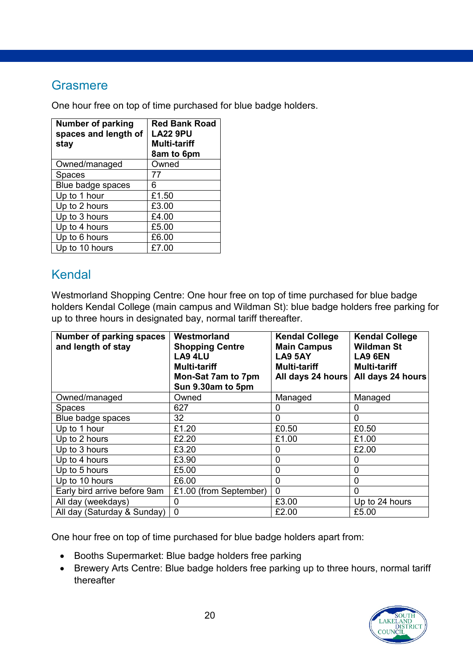#### **Grasmere**

One hour free on top of time purchased for blue badge holders.

| <b>Number of parking</b><br>spaces and length of<br>stay | <b>Red Bank Road</b><br><b>LA22 9PU</b><br><b>Multi-tariff</b><br>8am to 6pm |  |
|----------------------------------------------------------|------------------------------------------------------------------------------|--|
| Owned/managed                                            | Owned                                                                        |  |
| <b>Spaces</b>                                            | 77                                                                           |  |
| Blue badge spaces                                        | 6                                                                            |  |
| Up to 1 hour                                             | £1.50                                                                        |  |
| Up to 2 hours                                            | £3.00                                                                        |  |
| Up to 3 hours                                            | £4.00                                                                        |  |
| Up to 4 hours                                            | £5.00                                                                        |  |
| Up to 6 hours                                            | £6.00                                                                        |  |
| Up to 10 hours                                           | £7.00                                                                        |  |

### Kendal

Westmorland Shopping Centre: One hour free on top of time purchased for blue badge holders Kendal College (main campus and Wildman St): blue badge holders free parking for up to three hours in designated bay, normal tariff thereafter.

| Number of parking spaces<br>and length of stay | Westmorland<br><b>Shopping Centre</b><br>LA9 4LU<br><b>Multi-tariff</b><br>Mon-Sat 7am to 7pm<br>Sun 9.30am to 5pm | <b>Kendal College</b><br><b>Main Campus</b><br><b>LA9 5AY</b><br><b>Multi-tariff</b><br>All days 24 hours | <b>Kendal College</b><br><b>Wildman St</b><br>LA9 6EN<br><b>Multi-tariff</b><br>All days 24 hours |
|------------------------------------------------|--------------------------------------------------------------------------------------------------------------------|-----------------------------------------------------------------------------------------------------------|---------------------------------------------------------------------------------------------------|
| Owned/managed                                  | Owned                                                                                                              | Managed                                                                                                   | Managed                                                                                           |
| <b>Spaces</b>                                  | 627                                                                                                                | 0                                                                                                         | 0                                                                                                 |
| Blue badge spaces                              | 32                                                                                                                 | 0                                                                                                         | $\mathbf{0}$                                                                                      |
| Up to 1 hour                                   | £1.20                                                                                                              | £0.50                                                                                                     | £0.50                                                                                             |
| Up to 2 hours                                  | £2.20                                                                                                              | £1.00                                                                                                     | £1.00                                                                                             |
| Up to 3 hours                                  | £3.20                                                                                                              | 0                                                                                                         | £2.00                                                                                             |
| Up to 4 hours                                  | £3.90                                                                                                              | $\Omega$                                                                                                  | 0                                                                                                 |
| Up to 5 hours                                  | £5.00                                                                                                              | 0                                                                                                         | $\overline{0}$                                                                                    |
| Up to 10 hours                                 | £6.00                                                                                                              | $\Omega$                                                                                                  | $\overline{0}$                                                                                    |
| Early bird arrive before 9am                   | £1.00 (from September)                                                                                             | $\Omega$                                                                                                  | $\mathbf{0}$                                                                                      |
| All day (weekdays)                             | $\mathbf{0}$                                                                                                       | £3.00                                                                                                     | Up to 24 hours                                                                                    |
| All day (Saturday & Sunday)                    | $\mathbf 0$                                                                                                        | £2.00                                                                                                     | £5.00                                                                                             |

- Booths Supermarket: Blue badge holders free parking
- Brewery Arts Centre: Blue badge holders free parking up to three hours, normal tariff thereafter

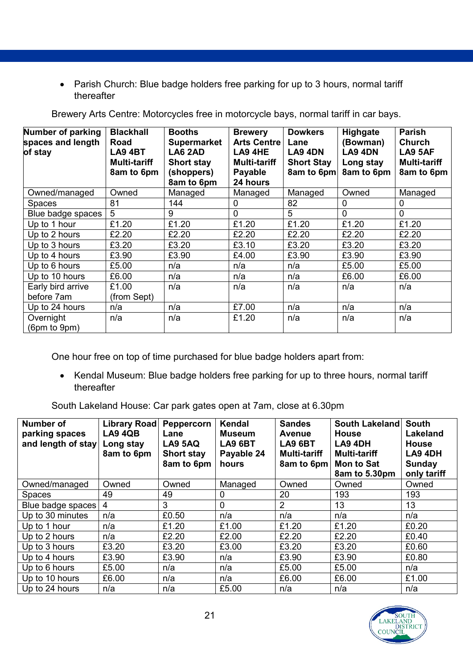• Parish Church: Blue badge holders free parking for up to 3 hours, normal tariff thereafter

| Number of parking<br>spaces and length<br>of stay | <b>Blackhall</b><br>Road<br><b>LA9 4BT</b><br><b>Multi-tariff</b><br>8am to 6pm | <b>Booths</b><br><b>Supermarket</b><br>LA6 2AD<br><b>Short stay</b><br>(shoppers)<br>8am to 6pm | <b>Brewery</b><br><b>Arts Centre</b><br>LA9 4HE<br><b>Multi-tariff</b><br>Payable<br>24 hours | <b>Dowkers</b><br>Lane<br>LA9 4DN<br><b>Short Stay</b><br>8am to 6pm | Highgate<br>(Bowman)<br>LA9 4DN<br>Long stay<br>8am to 6pm | <b>Parish</b><br><b>Church</b><br><b>LA9 5AF</b><br><b>Multi-tariff</b><br>8am to 6pm |
|---------------------------------------------------|---------------------------------------------------------------------------------|-------------------------------------------------------------------------------------------------|-----------------------------------------------------------------------------------------------|----------------------------------------------------------------------|------------------------------------------------------------|---------------------------------------------------------------------------------------|
| Owned/managed                                     | Owned                                                                           | Managed                                                                                         | Managed                                                                                       | Managed                                                              | Owned                                                      | Managed                                                                               |
| <b>Spaces</b>                                     | 81                                                                              | 144                                                                                             | 0                                                                                             | 82                                                                   | 0                                                          | 0                                                                                     |
| Blue badge spaces                                 | $5\overline{)}$                                                                 | 9                                                                                               | $\mathbf 0$                                                                                   | 5                                                                    | 0                                                          | $\overline{0}$                                                                        |
| Up to 1 hour                                      | £1.20                                                                           | £1.20                                                                                           | £1.20                                                                                         | £1.20                                                                | £1.20                                                      | £1.20                                                                                 |
| Up to 2 hours                                     | £2.20                                                                           | £2.20                                                                                           | £2.20                                                                                         | £2.20                                                                | £2.20                                                      | £2.20                                                                                 |
| Up to 3 hours                                     | £3.20                                                                           | £3.20                                                                                           | £3.10                                                                                         | £3.20                                                                | £3.20                                                      | £3.20                                                                                 |
| Up to 4 hours                                     | £3.90                                                                           | £3.90                                                                                           | £4.00                                                                                         | £3.90                                                                | £3.90                                                      | £3.90                                                                                 |
| Up to 6 hours                                     | £5.00                                                                           | n/a                                                                                             | n/a                                                                                           | n/a                                                                  | £5.00                                                      | £5.00                                                                                 |
| Up to 10 hours                                    | £6.00                                                                           | n/a                                                                                             | n/a                                                                                           | n/a                                                                  | £6.00                                                      | £6.00                                                                                 |
| Early bird arrive                                 | £1.00                                                                           | n/a                                                                                             | n/a                                                                                           | n/a                                                                  | n/a                                                        | n/a                                                                                   |
| before 7am                                        | (from Sept)                                                                     |                                                                                                 |                                                                                               |                                                                      |                                                            |                                                                                       |
| Up to 24 hours                                    | n/a                                                                             | n/a                                                                                             | £7.00                                                                                         | n/a                                                                  | n/a                                                        | n/a                                                                                   |
| Overnight<br>(6pm to 9pm)                         | n/a                                                                             | n/a                                                                                             | £1.20                                                                                         | n/a                                                                  | n/a                                                        | n/a                                                                                   |

Brewery Arts Centre: Motorcycles free in motorcycle bays, normal tariff in car bays.

One hour free on top of time purchased for blue badge holders apart from:

• Kendal Museum: Blue badge holders free parking for up to three hours, normal tariff thereafter

South Lakeland House: Car park gates open at 7am, close at 6.30pm

| Number of<br>parking spaces<br>and length of stay | Library Road<br>LA9 4QB<br>Long stay<br>8am to 6pm | Peppercorn<br>Lane<br><b>LA9 5AQ</b><br><b>Short stay</b><br>8am to 6pm | Kendal<br><b>Museum</b><br><b>LA9 6BT</b><br>Payable 24<br>hours | <b>Sandes</b><br><b>Avenue</b><br>LA9 6BT<br><b>Multi-tariff</b><br>8am to 6pm | South Lakeland<br><b>House</b><br>LA9 4DH<br><b>Multi-tariff</b><br><b>Mon to Sat</b><br>8am to 5.30pm | <b>South</b><br><b>Lakeland</b><br><b>House</b><br>LA9 4DH<br>Sunday<br>only tariff |
|---------------------------------------------------|----------------------------------------------------|-------------------------------------------------------------------------|------------------------------------------------------------------|--------------------------------------------------------------------------------|--------------------------------------------------------------------------------------------------------|-------------------------------------------------------------------------------------|
| Owned/managed                                     | Owned                                              | Owned                                                                   | Managed                                                          | Owned                                                                          | Owned                                                                                                  | Owned                                                                               |
| <b>Spaces</b>                                     | 49                                                 | 49                                                                      | $\Omega$                                                         | 20                                                                             | 193                                                                                                    | 193                                                                                 |
| Blue badge spaces                                 | 4                                                  | 3                                                                       | $\mathbf{0}$                                                     | $\overline{2}$                                                                 | 13                                                                                                     | 13                                                                                  |
| Up to 30 minutes                                  | n/a                                                | £0.50                                                                   | n/a                                                              | n/a                                                                            | n/a                                                                                                    | n/a                                                                                 |
| Up to 1 hour                                      | n/a                                                | £1.20                                                                   | £1.00                                                            | £1.20                                                                          | £1.20                                                                                                  | £0.20                                                                               |
| Up to 2 hours                                     | n/a                                                | £2.20                                                                   | £2.00                                                            | £2.20                                                                          | £2.20                                                                                                  | £0.40                                                                               |
| Up to 3 hours                                     | £3.20                                              | £3.20                                                                   | £3.00                                                            | £3.20                                                                          | £3.20                                                                                                  | £0.60                                                                               |
| Up to 4 hours                                     | £3.90                                              | £3.90                                                                   | n/a                                                              | £3.90                                                                          | £3.90                                                                                                  | £0.80                                                                               |
| Up to 6 hours                                     | £5.00                                              | n/a                                                                     | n/a                                                              | £5.00                                                                          | £5.00                                                                                                  | n/a                                                                                 |
| Up to 10 hours                                    | £6.00                                              | n/a                                                                     | n/a                                                              | £6.00                                                                          | £6.00                                                                                                  | £1.00                                                                               |
| Up to 24 hours                                    | n/a                                                | n/a                                                                     | £5.00                                                            | n/a                                                                            | n/a                                                                                                    | n/a                                                                                 |

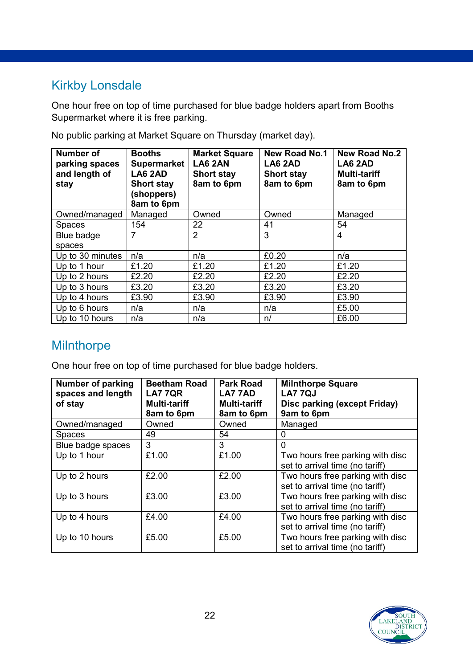### Kirkby Lonsdale

One hour free on top of time purchased for blue badge holders apart from Booths Supermarket where it is free parking.

| Number of<br>parking spaces<br>and length of<br>stay | <b>Booths</b><br><b>Supermarket</b><br>LA6 2AD<br><b>Short stay</b><br>(shoppers)<br>8am to 6pm | <b>Market Square</b><br>LA6 2AN<br><b>Short stay</b><br>8am to 6pm | <b>New Road No.1</b><br>LA6 2AD<br><b>Short stay</b><br>8am to 6pm | <b>New Road No.2</b><br>LA6 2AD<br><b>Multi-tariff</b><br>8am to 6pm |
|------------------------------------------------------|-------------------------------------------------------------------------------------------------|--------------------------------------------------------------------|--------------------------------------------------------------------|----------------------------------------------------------------------|
| Owned/managed                                        | Managed                                                                                         | Owned                                                              | Owned                                                              | Managed                                                              |
| <b>Spaces</b>                                        | 154                                                                                             | 22                                                                 | 41                                                                 | 54                                                                   |
| Blue badge                                           | 7                                                                                               | $\overline{2}$                                                     | 3                                                                  | 4                                                                    |
| spaces                                               |                                                                                                 |                                                                    |                                                                    |                                                                      |
| Up to 30 minutes                                     | n/a                                                                                             | n/a                                                                | £0.20                                                              | n/a                                                                  |
| Up to 1 hour                                         | £1.20                                                                                           | £1.20                                                              | £1.20                                                              | £1.20                                                                |
| Up to 2 hours                                        | £2.20                                                                                           | £2.20                                                              | £2.20                                                              | £2.20                                                                |
| Up to 3 hours                                        | £3.20                                                                                           | £3.20                                                              | £3.20                                                              | £3.20                                                                |
| Up to 4 hours                                        | £3.90                                                                                           | £3.90                                                              | £3.90                                                              | £3.90                                                                |
| Up to 6 hours                                        | n/a                                                                                             | n/a                                                                | n/a                                                                | £5.00                                                                |
| Up to 10 hours                                       | n/a                                                                                             | n/a                                                                | n/                                                                 | £6.00                                                                |

No public parking at Market Square on Thursday (market day).

### **Milnthorpe**

| <b>Number of parking</b><br>spaces and length<br>of stay | <b>Beetham Road</b><br><b>LA7 7QR</b><br><b>Multi-tariff</b><br>8am to 6pm | <b>Park Road</b><br>LA7 7AD<br><b>Multi-tariff</b><br>8am to 6pm | <b>Milnthorpe Square</b><br><b>LA7 7QJ</b><br>Disc parking (except Friday)<br>9am to 6pm |
|----------------------------------------------------------|----------------------------------------------------------------------------|------------------------------------------------------------------|------------------------------------------------------------------------------------------|
| Owned/managed                                            | Owned                                                                      | Owned                                                            | Managed                                                                                  |
| <b>Spaces</b>                                            | 49                                                                         | 54                                                               | 0                                                                                        |
| Blue badge spaces                                        | 3                                                                          | 3                                                                | $\Omega$                                                                                 |
| Up to 1 hour                                             | £1.00                                                                      | £1.00                                                            | Two hours free parking with disc<br>set to arrival time (no tariff)                      |
| Up to 2 hours                                            | £2.00                                                                      | £2.00                                                            | Two hours free parking with disc<br>set to arrival time (no tariff)                      |
| Up to 3 hours                                            | £3.00                                                                      | £3.00                                                            | Two hours free parking with disc<br>set to arrival time (no tariff)                      |
| Up to 4 hours                                            | £4.00                                                                      | £4.00                                                            | Two hours free parking with disc<br>set to arrival time (no tariff)                      |
| Up to 10 hours                                           | £5.00                                                                      | £5.00                                                            | Two hours free parking with disc<br>set to arrival time (no tariff)                      |

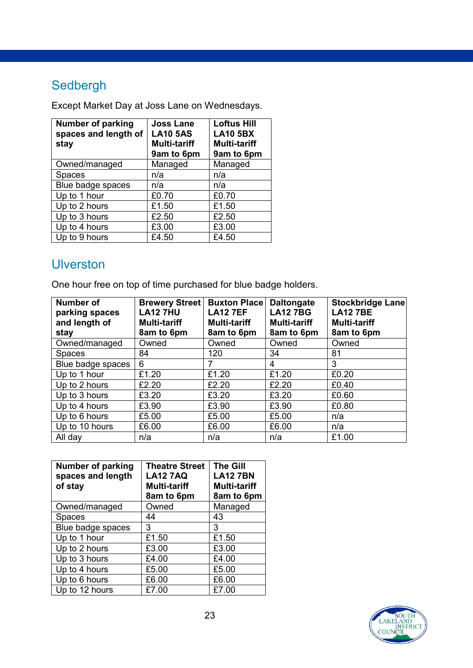## Sedbergh

Except Market Day at Joss Lane on Wednesdays.

| <b>Number of parking</b><br>spaces and length of<br>stay | <b>Joss Lane</b><br><b>LA10 5AS</b><br><b>Multi-tariff</b><br>9am to 6pm | <b>Loftus Hill</b><br><b>LA10 5BX</b><br><b>Multi-tariff</b><br>9am to 6pm |
|----------------------------------------------------------|--------------------------------------------------------------------------|----------------------------------------------------------------------------|
| Owned/managed                                            | Managed                                                                  | Managed                                                                    |
| <b>Spaces</b>                                            | n/a                                                                      | n/a                                                                        |
| Blue badge spaces                                        | n/a                                                                      | n/a                                                                        |
| Up to 1 hour                                             | £0.70                                                                    | £0.70                                                                      |
| Up to 2 hours                                            | £1.50                                                                    | £1.50                                                                      |
| Up to 3 hours                                            | £2.50                                                                    | £2.50                                                                      |
| Up to 4 hours                                            | £3.00                                                                    | £3.00                                                                      |
| Up to 9 hours                                            | £4.50                                                                    | £4.50                                                                      |

#### **Ulverston**

| <b>Number of</b><br>parking spaces<br>and length of<br>stay | <b>Brewery Street</b><br><b>LA12 7HU</b><br><b>Multi-tariff</b><br>8am to 6pm | <b>Buxton Place</b><br><b>LA12 7EF</b><br><b>Multi-tariff</b><br>8am to 6pm | <b>Daltongate</b><br><b>LA127BG</b><br><b>Multi-tariff</b><br>8am to 6pm | <b>Stockbridge Lane</b><br><b>LA12 7BE</b><br><b>Multi-tariff</b><br>8am to 6pm |
|-------------------------------------------------------------|-------------------------------------------------------------------------------|-----------------------------------------------------------------------------|--------------------------------------------------------------------------|---------------------------------------------------------------------------------|
| Owned/managed                                               | Owned                                                                         | Owned                                                                       | Owned                                                                    | Owned                                                                           |
| <b>Spaces</b>                                               | 84                                                                            | 120                                                                         | 34                                                                       | 81                                                                              |
| Blue badge spaces                                           | 6                                                                             |                                                                             | 4                                                                        | 3                                                                               |
| Up to 1 hour                                                | £1.20                                                                         | £1.20                                                                       | £1.20                                                                    | £0.20                                                                           |
| Up to 2 hours                                               | £2.20                                                                         | £2.20                                                                       | £2.20                                                                    | £0.40                                                                           |
| Up to 3 hours                                               | £3.20                                                                         | £3.20                                                                       | £3.20                                                                    | £0.60                                                                           |
| Up to 4 hours                                               | £3.90                                                                         | £3.90                                                                       | £3.90                                                                    | £0.80                                                                           |
| Up to 6 hours                                               | £5.00                                                                         | £5.00                                                                       | £5.00                                                                    | n/a                                                                             |
| Up to 10 hours                                              | £6.00                                                                         | £6.00                                                                       | £6.00                                                                    | n/a                                                                             |
| All day                                                     | n/a                                                                           | n/a                                                                         | n/a                                                                      | £1.00                                                                           |

| <b>Number of parking</b><br>spaces and length<br>of stay | <b>Theatre Street</b><br><b>LA12 7AQ</b><br><b>Multi-tariff</b><br>8am to 6pm | <b>The Gill</b><br><b>LA12 7BN</b><br><b>Multi-tariff</b><br>8am to 6pm |
|----------------------------------------------------------|-------------------------------------------------------------------------------|-------------------------------------------------------------------------|
| Owned/managed                                            | Owned                                                                         | Managed                                                                 |
| <b>Spaces</b>                                            | 44                                                                            | 43                                                                      |
| Blue badge spaces                                        | 3                                                                             | 3                                                                       |
| Up to 1 hour                                             | £1.50                                                                         | £1.50                                                                   |
| Up to 2 hours                                            | £3.00                                                                         | £3.00                                                                   |
| Up to 3 hours                                            | £4.00                                                                         | £4.00                                                                   |
| Up to 4 hours                                            | £5.00                                                                         | £5.00                                                                   |
| Up to 6 hours                                            | £6.00                                                                         | £6.00                                                                   |
| Up to 12 hours                                           | £7.00                                                                         | £7.00                                                                   |

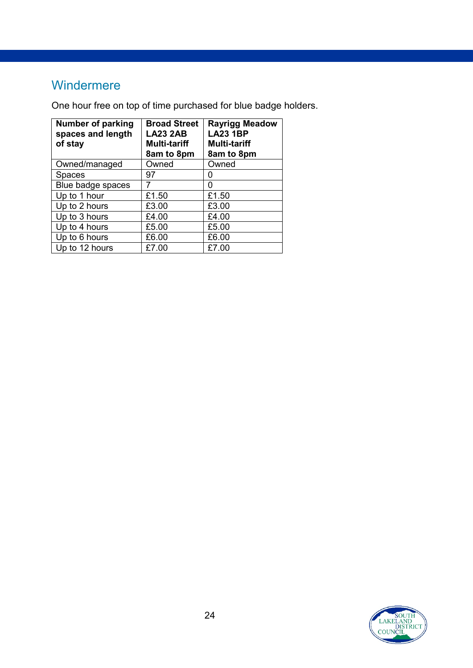### Windermere

| <b>Number of parking</b><br>spaces and length<br>of stay | <b>Broad Street</b><br><b>LA23 2AB</b><br><b>Multi-tariff</b><br>8am to 8pm | <b>Rayrigg Meadow</b><br><b>LA23 1BP</b><br><b>Multi-tariff</b><br>8am to 8pm |
|----------------------------------------------------------|-----------------------------------------------------------------------------|-------------------------------------------------------------------------------|
| Owned/managed                                            | Owned                                                                       | Owned                                                                         |
| <b>Spaces</b>                                            | 97                                                                          | O                                                                             |
| Blue badge spaces                                        |                                                                             | O                                                                             |
| Up to 1 hour                                             | £1.50                                                                       | £1.50                                                                         |
| Up to 2 hours                                            | £3.00                                                                       | £3.00                                                                         |
| Up to 3 hours                                            | £4.00                                                                       | £4.00                                                                         |
| Up to 4 hours                                            | £5.00                                                                       | £5.00                                                                         |
| Up to 6 hours                                            | £6.00                                                                       | £6.00                                                                         |
| Up to 12 hours                                           | £7.00                                                                       | £7.00                                                                         |

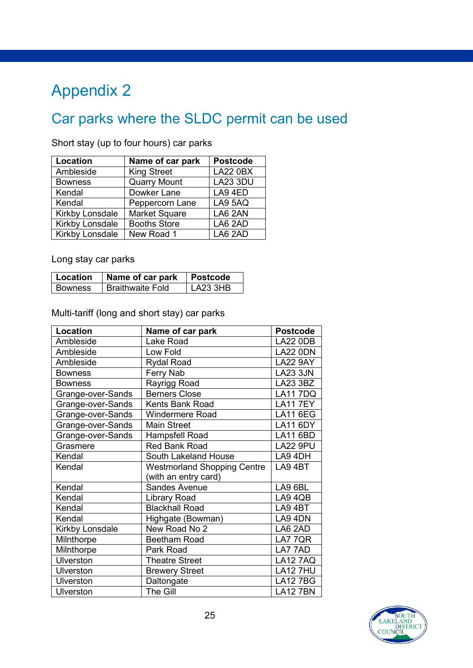# <span id="page-24-0"></span>Appendix 2

# Car parks where the SLDC permit can be used

| Location               | Name of car park     | <b>Postcode</b> |
|------------------------|----------------------|-----------------|
| Ambleside              | <b>King Street</b>   | <b>LA22 0BX</b> |
| <b>Bowness</b>         | <b>Quarry Mount</b>  | <b>LA23 3DU</b> |
| Kendal                 | Dowker Lane          | LA9 4ED         |
| Kendal                 | Peppercorn Lane      | LA9 5AQ         |
| <b>Kirkby Lonsdale</b> | <b>Market Square</b> | LA6 2AN         |
| <b>Kirkby Lonsdale</b> | <b>Booths Store</b>  | LA6 2AD         |
| Kirkby Lonsdale        | New Road 1           | LA6 2AD         |

Short stay (up to four hours) car parks

Long stay car parks

| Location  | Name of car park        | <b>Postcode</b> |
|-----------|-------------------------|-----------------|
| l Bowness | <b>Braithwaite Fold</b> | LA23 3HB        |

Multi-tariff (long and short stay) car parks

| Location          | Name of car park                   | <b>Postcode</b> |
|-------------------|------------------------------------|-----------------|
| Ambleside         | Lake Road                          | <b>LA22 0DB</b> |
| Ambleside         | Low Fold                           | <b>LA22 0DN</b> |
| Ambleside         | <b>Rydal Road</b>                  | <b>LA22 9AY</b> |
| <b>Bowness</b>    | <b>Ferry Nab</b>                   | <b>LA23 3JN</b> |
| <b>Bowness</b>    | Rayrigg Road                       | LA23 3BZ        |
| Grange-over-Sands | <b>Berners Close</b>               | <b>LA117DQ</b>  |
| Grange-over-Sands | <b>Kents Bank Road</b>             | <b>LA117EY</b>  |
| Grange-over-Sands | <b>Windermere Road</b>             | <b>LA11 6EG</b> |
| Grange-over-Sands | <b>Main Street</b>                 | <b>LA11 6DY</b> |
| Grange-over-Sands | Hampsfell Road                     | LA11 6BD        |
| Grasmere          | <b>Red Bank Road</b>               | <b>LA22 9PU</b> |
| Kendal            | South Lakeland House               | LA9 4DH         |
| Kendal            | <b>Westmorland Shopping Centre</b> | LA94BT          |
|                   | (with an entry card)               |                 |
| Kendal            | <b>Sandes Avenue</b>               | LA9 6BL         |
| Kendal            | <b>Library Road</b>                | LA9 4QB         |
| Kendal            | <b>Blackhall Road</b>              | LA9 4BT         |
| Kendal            | Highgate (Bowman)                  | LA9 4DN         |
| Kirkby Lonsdale   | New Road No 2                      | LA6 2AD         |
| Milnthorpe        | <b>Beetham Road</b>                | LA7 7QR         |
| Milnthorpe        | Park Road                          | LA7 7AD         |
| <b>Ulverston</b>  | <b>Theatre Street</b>              | <b>LA12 7AQ</b> |
| <b>Ulverston</b>  | <b>Brewery Street</b>              | <b>LA12 7HU</b> |
| Ulverston         | Daltongate                         | <b>LA127BG</b>  |
| Ulverston         | The Gill                           | <b>LA12 7BN</b> |